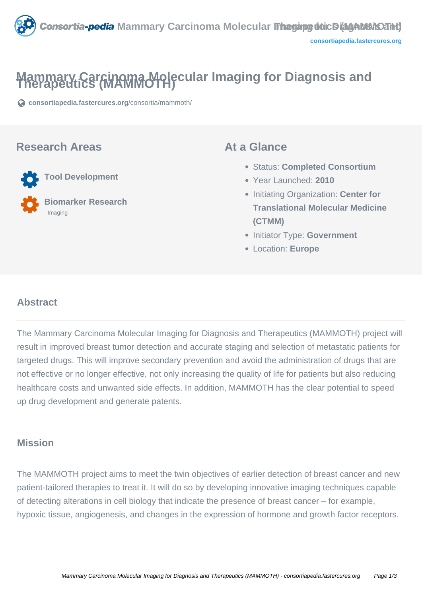

# **Mammary Carcinoma Molecular Imaging for Diagnosis and Therapeutics (MAMMOTH)**

**[consortiapedia.fastercures.org](https://consortiapedia.fastercures.org/consortia/mammoth/)**[/consortia/mammoth/](https://consortiapedia.fastercures.org/consortia/mammoth/)

#### **Research Areas**

 **Tool Development Biomarker Research** Imaging

#### **At a Glance**

- Status: **Completed Consortium**
- Year Launched: **2010**
- **Initiating Organization: Center for Translational Molecular Medicine (CTMM)**
- **Initiator Type: Government**
- Location: **Europe**

#### $\overline{a}$ **Abstract**

The Mammary Carcinoma Molecular Imaging for Diagnosis and Therapeutics (MAMMOTH) project will result in improved breast tumor detection and accurate staging and selection of metastatic patients for targeted drugs. This will improve secondary prevention and avoid the administration of drugs that are not effective or no longer effective, not only increasing the quality of life for patients but also reducing healthcare costs and unwanted side effects. In addition, MAMMOTH has the clear potential to speed up drug development and generate patents.

## **Mission**

The MAMMOTH project aims to meet the twin objectives of earlier detection of breast cancer and new patient-tailored therapies to treat it. It will do so by developing innovative imaging techniques capable of detecting alterations in cell biology that indicate the presence of breast cancer – for example, hypoxic tissue, angiogenesis, and changes in the expression of hormone and growth factor receptors.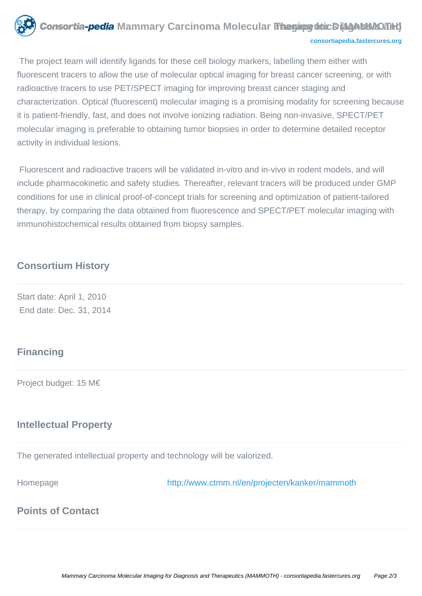

 The project team will identify ligands for these cell biology markers, labelling them either with fluorescent tracers to allow the use of molecular optical imaging for breast cancer screening, or with radioactive tracers to use PET/SPECT imaging for improving breast cancer staging and characterization. Optical (fluorescent) molecular imaging is a promising modality for screening because it is patient-friendly, fast, and does not involve ionizing radiation. Being non-invasive, SPECT/PET molecular imaging is preferable to obtaining tumor biopsies in order to determine detailed receptor activity in individual lesions.

 Fluorescent and radioactive tracers will be validated in-vitro and in-vivo in rodent models, and will include pharmacokinetic and safety studies. Thereafter, relevant tracers will be produced under GMP conditions for use in clinical proof-of-concept trials for screening and optimization of patient-tailored therapy, by comparing the data obtained from fluorescence and SPECT/PET molecular imaging with immunohistochemical results obtained from biopsy samples.

#### **Consortium History**

Start date: April 1, 2010 End date: Dec. 31, 2014

#### **Financing**

Project budget: 15 M€

# **Intellectual Property**

The generated intellectual property and technology will be valorized.

Homepage <http://www.ctmm.nl/en/projecten/kanker/mammoth>

# **Points of Contact**